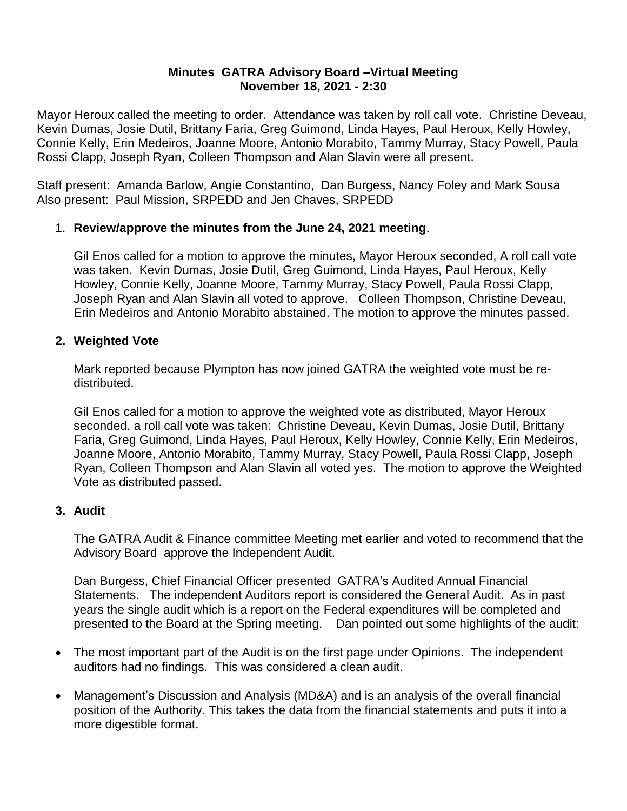#### **Minutes GATRA Advisory Board –Virtual Meeting November 18, 2021 - 2:30**

Mayor Heroux called the meeting to order. Attendance was taken by roll call vote. Christine Deveau, Kevin Dumas, Josie Dutil, Brittany Faria, Greg Guimond, Linda Hayes, Paul Heroux, Kelly Howley, Connie Kelly, Erin Medeiros, Joanne Moore, Antonio Morabito, Tammy Murray, Stacy Powell, Paula Rossi Clapp, Joseph Ryan, Colleen Thompson and Alan Slavin were all present.

Staff present: Amanda Barlow, Angie Constantino, Dan Burgess, Nancy Foley and Mark Sousa Also present: Paul Mission, SRPEDD and Jen Chaves, SRPEDD

# 1. **Review/approve the minutes from the June 24, 2021 meeting**.

Gil Enos called for a motion to approve the minutes, Mayor Heroux seconded, A roll call vote was taken. Kevin Dumas, Josie Dutil, Greg Guimond, Linda Hayes, Paul Heroux, Kelly Howley, Connie Kelly, Joanne Moore, Tammy Murray, Stacy Powell, Paula Rossi Clapp, Joseph Ryan and Alan Slavin all voted to approve. Colleen Thompson, Christine Deveau, Erin Medeiros and Antonio Morabito abstained. The motion to approve the minutes passed.

### **2. Weighted Vote**

Mark reported because Plympton has now joined GATRA the weighted vote must be redistributed.

Gil Enos called for a motion to approve the weighted vote as distributed, Mayor Heroux seconded, a roll call vote was taken: Christine Deveau, Kevin Dumas, Josie Dutil, Brittany Faria, Greg Guimond, Linda Hayes, Paul Heroux, Kelly Howley, Connie Kelly, Erin Medeiros, Joanne Moore, Antonio Morabito, Tammy Murray, Stacy Powell, Paula Rossi Clapp, Joseph Ryan, Colleen Thompson and Alan Slavin all voted yes. The motion to approve the Weighted Vote as distributed passed.

### **3. Audit**

The GATRA Audit & Finance committee Meeting met earlier and voted to recommend that the Advisory Board approve the Independent Audit.

Dan Burgess, Chief Financial Officer presented GATRA's Audited Annual Financial Statements. The independent Auditors report is considered the General Audit. As in past years the single audit which is a report on the Federal expenditures will be completed and presented to the Board at the Spring meeting. Dan pointed out some highlights of the audit:

- The most important part of the Audit is on the first page under Opinions. The independent auditors had no findings. This was considered a clean audit.
- Management's Discussion and Analysis (MD&A) and is an analysis of the overall financial position of the Authority. This takes the data from the financial statements and puts it into a more digestible format.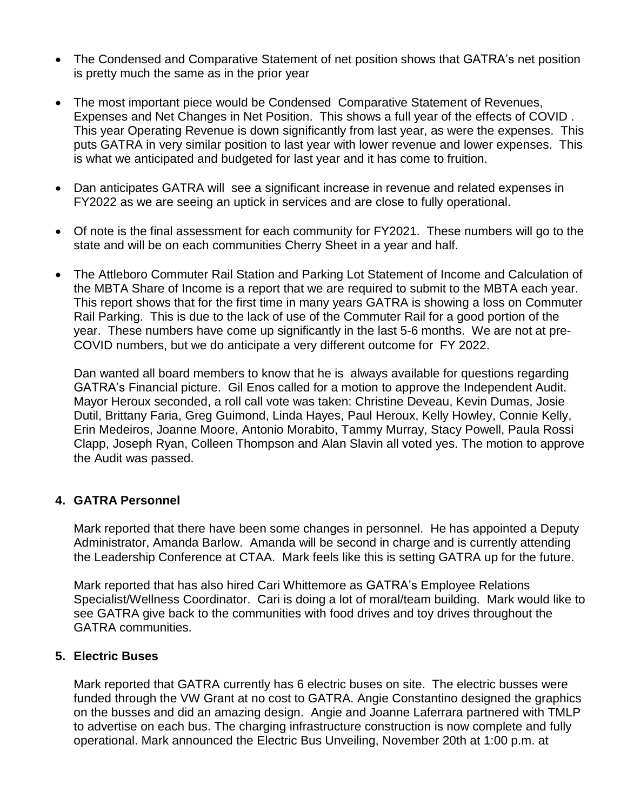- The Condensed and Comparative Statement of net position shows that GATRA's net position is pretty much the same as in the prior year
- The most important piece would be Condensed Comparative Statement of Revenues, Expenses and Net Changes in Net Position. This shows a full year of the effects of COVID . This year Operating Revenue is down significantly from last year, as were the expenses. This puts GATRA in very similar position to last year with lower revenue and lower expenses. This is what we anticipated and budgeted for last year and it has come to fruition.
- Dan anticipates GATRA will see a significant increase in revenue and related expenses in FY2022 as we are seeing an uptick in services and are close to fully operational.
- Of note is the final assessment for each community for FY2021. These numbers will go to the state and will be on each communities Cherry Sheet in a year and half.
- The Attleboro Commuter Rail Station and Parking Lot Statement of Income and Calculation of the MBTA Share of Income is a report that we are required to submit to the MBTA each year. This report shows that for the first time in many years GATRA is showing a loss on Commuter Rail Parking. This is due to the lack of use of the Commuter Rail for a good portion of the year. These numbers have come up significantly in the last 5-6 months. We are not at pre-COVID numbers, but we do anticipate a very different outcome for FY 2022.

Dan wanted all board members to know that he is always available for questions regarding GATRA's Financial picture. Gil Enos called for a motion to approve the Independent Audit. Mayor Heroux seconded, a roll call vote was taken: Christine Deveau, Kevin Dumas, Josie Dutil, Brittany Faria, Greg Guimond, Linda Hayes, Paul Heroux, Kelly Howley, Connie Kelly, Erin Medeiros, Joanne Moore, Antonio Morabito, Tammy Murray, Stacy Powell, Paula Rossi Clapp, Joseph Ryan, Colleen Thompson and Alan Slavin all voted yes. The motion to approve the Audit was passed.

### **4. GATRA Personnel**

Mark reported that there have been some changes in personnel. He has appointed a Deputy Administrator, Amanda Barlow. Amanda will be second in charge and is currently attending the Leadership Conference at CTAA. Mark feels like this is setting GATRA up for the future.

Mark reported that has also hired Cari Whittemore as GATRA's Employee Relations Specialist/Wellness Coordinator. Cari is doing a lot of moral/team building. Mark would like to see GATRA give back to the communities with food drives and toy drives throughout the GATRA communities.

### **5. Electric Buses**

Mark reported that GATRA currently has 6 electric buses on site. The electric busses were funded through the VW Grant at no cost to GATRA. Angie Constantino designed the graphics on the busses and did an amazing design. Angie and Joanne Laferrara partnered with TMLP to advertise on each bus. The charging infrastructure construction is now complete and fully operational. Mark announced the Electric Bus Unveiling, November 20th at 1:00 p.m. at